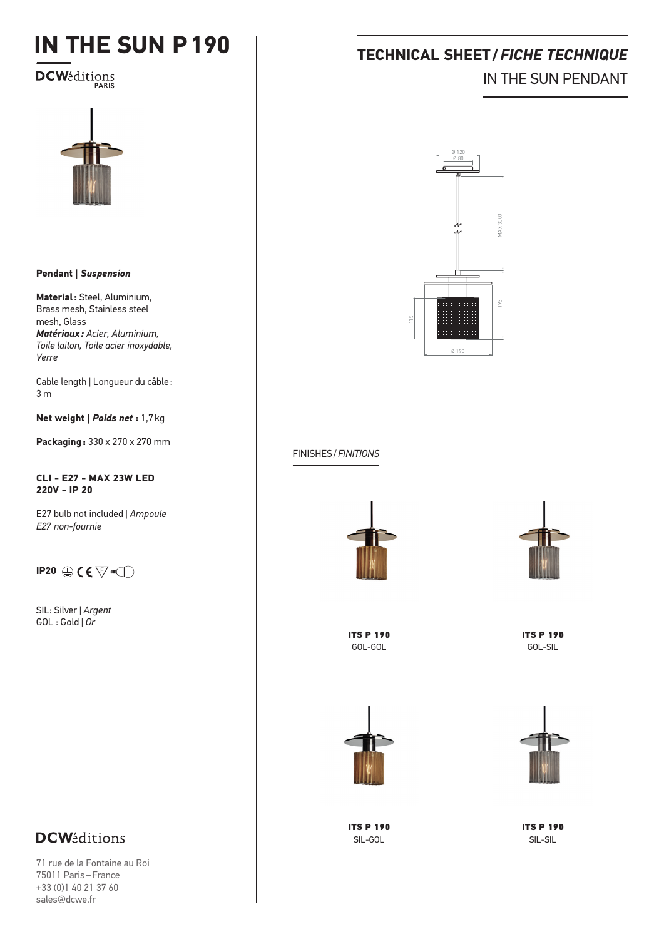# **IN THE SUN P190**

**DCW**éditions



### **Pendant |** *Suspension*

**Material:** Steel, Aluminium, Brass mesh, Stainless steel mesh, Glass *Matériaux: Acier, Aluminium, Toile laiton, Toile acier inoxydable, Verre*

Cable length *|* Longueur du câble : 3 m

**Net weight |** *Poids net* **:** 1,7kg

**Packaging:** 330 x 270 x 270 mm

**CLI - E27 - MAX 23W LED 220V - IP 20**

E27 bulb not included *| Ampoule E27 non-fournie*

### **IP20**  $\oplus$  **C**  $\overline{\nabla}$   $\overline{\nabla}$

SIL: Silver | *Argent* GOL : Gold | *Or*

### **DCW**éditions

71 rue de la Fontaine au Roi 75011 Paris–France +33 (0)1 40 21 37 60 sales@dcwe.fr

# **TECHNICAL SHEET/***FICHE TECHNIQUE* IN THE SUN PENDANT



### FINISHES/*FINITIONS*



ITS P 190 GOL-GOL



ITS P 190 GOL-SIL



ITS P 190 SIL-GOL



ITS P 190 SIL-SIL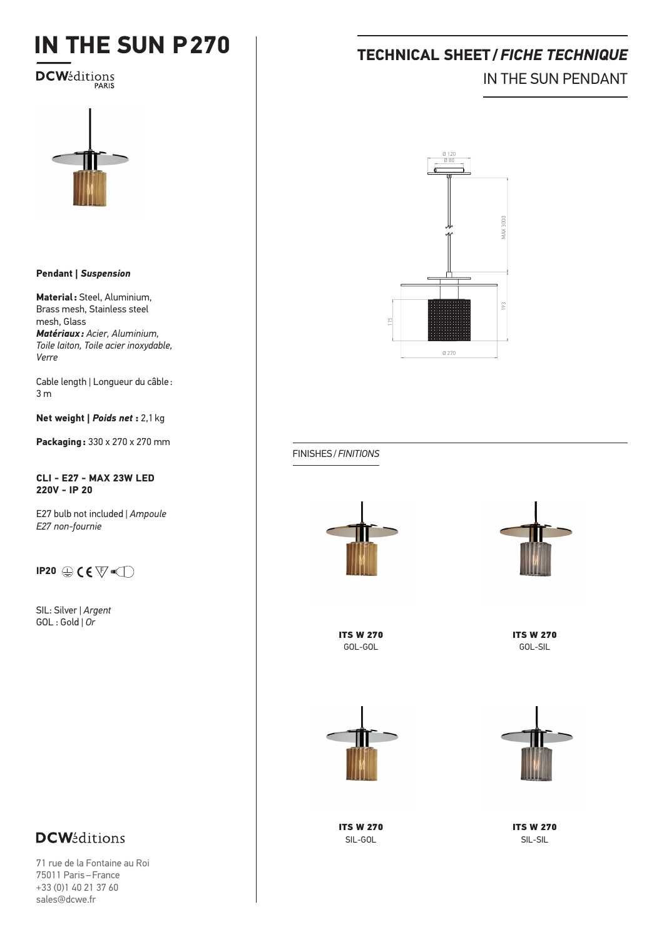# **IN THE SUN P270**

**DCW**éditions



### **Pendant |** *Suspension*

**Material:** Steel, Aluminium, Brass mesh, Stainless steel mesh, Glass *Matériaux: Acier, Aluminium, Toile laiton, Toile acier inoxydable, Verre*

Cable length *|* Longueur du câble : 3 m

**Net weight |** *Poids net* **:** 2,1kg

**Packaging:** 330 x 270 x 270 mm

### **CLI - E27 - MAX 23W LED 220V - IP 20**

E27 bulb not included *| Ampoule E27 non-fournie*

### **IP20**  $\oplus$  **C**  $\overline{\nabla}$   $\overline{\nabla}$

SIL: Silver | *Argent* GOL : Gold | *Or*

# **TECHNICAL SHEET/***FICHE TECHNIQUE* IN THE SUN PENDANT



FINISHES/*FINITIONS*





ITS W 270 GOL-GOL

ITS W 270 GOL-SIL





ITS W 270 SIL-GOL

ITS W 270 SIL-SIL

### **DCW**éditions

71 rue de la Fontaine au Roi 75011 Paris–France +33 (0)1 40 21 37 60 sales@dcwe.fr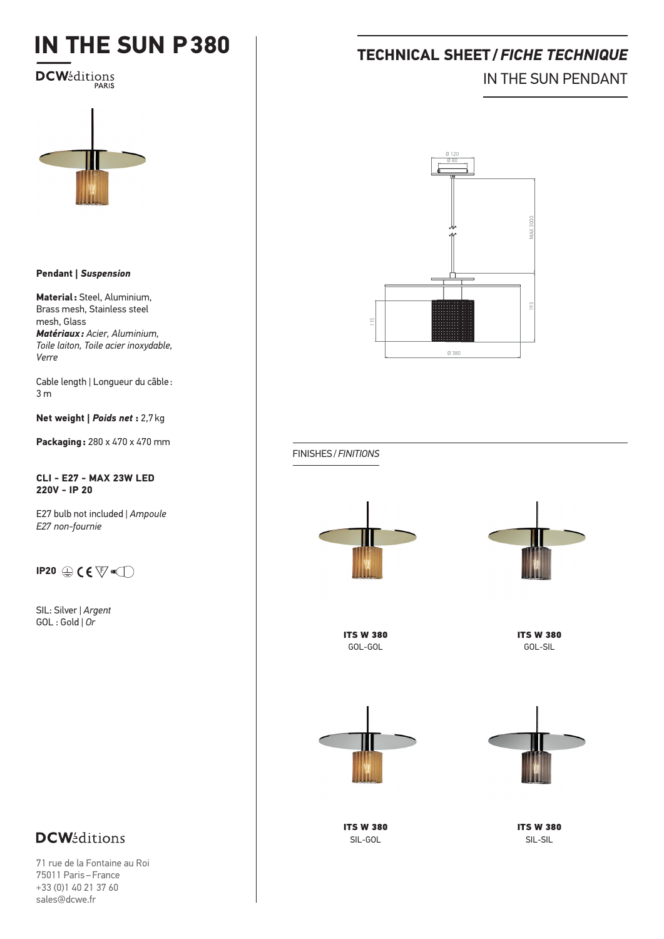# **IN THE SUN P380**

**DCW**éditions



#### **Pendant |** *Suspension*

**Material:** Steel, Aluminium, Brass mesh, Stainless steel mesh, Glass *Matériaux: Acier, Aluminium, Toile laiton, Toile acier inoxydable, Verre*

Cable length *|* Longueur du câble : 3 m

**Net weight |** *Poids net* **:** 2,7kg

**Packaging:** 280 x 470 x 470 mm

### **CLI - E27 - MAX 23W LED 220V - IP 20**

E27 bulb not included *| Ampoule E27 non-fournie*

### **IP20**  $\oplus$  **C**  $\overline{\nabla}$   $\overline{\nabla}$

SIL: Silver | *Argent* GOL : Gold | *Or*

## **TECHNICAL SHEET/***FICHE TECHNIQUE* IN THE SUN PENDANT



FINISHES/*FINITIONS*





ITS W 380 GOL-GOL

ITS W 380 GOL-SIL





ITS W 380 SIL-GOL

ITS W 380 SIL-SIL

### **DCW**éditions

71 rue de la Fontaine au Roi 75011 Paris–France +33 (0)1 40 21 37 60 sales@dcwe.fr